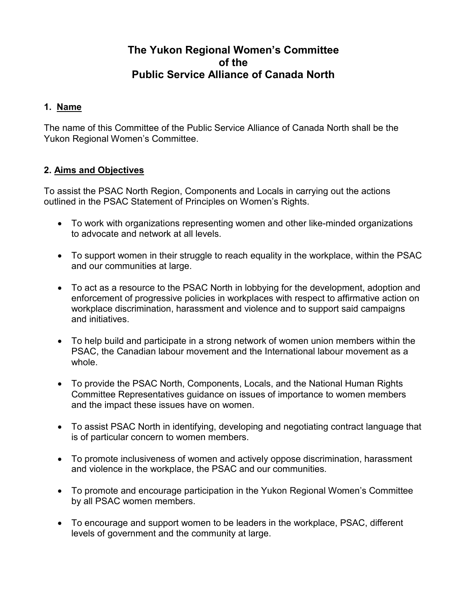# **The Yukon Regional Women's Committee of the Public Service Alliance of Canada North**

#### **1. Name**

The name of this Committee of the Public Service Alliance of Canada North shall be the Yukon Regional Women's Committee.

#### **2. Aims and Objectives**

To assist the PSAC North Region, Components and Locals in carrying out the actions outlined in the PSAC Statement of Principles on Women's Rights.

- To work with organizations representing women and other like-minded organizations to advocate and network at all levels.
- To support women in their struggle to reach equality in the workplace, within the PSAC and our communities at large.
- To act as a resource to the PSAC North in lobbying for the development, adoption and enforcement of progressive policies in workplaces with respect to affirmative action on workplace discrimination, harassment and violence and to support said campaigns and initiatives.
- To help build and participate in a strong network of women union members within the PSAC, the Canadian labour movement and the International labour movement as a whole.
- To provide the PSAC North, Components, Locals, and the National Human Rights Committee Representatives guidance on issues of importance to women members and the impact these issues have on women.
- To assist PSAC North in identifying, developing and negotiating contract language that is of particular concern to women members.
- To promote inclusiveness of women and actively oppose discrimination, harassment and violence in the workplace, the PSAC and our communities.
- To promote and encourage participation in the Yukon Regional Women's Committee by all PSAC women members.
- To encourage and support women to be leaders in the workplace, PSAC, different levels of government and the community at large.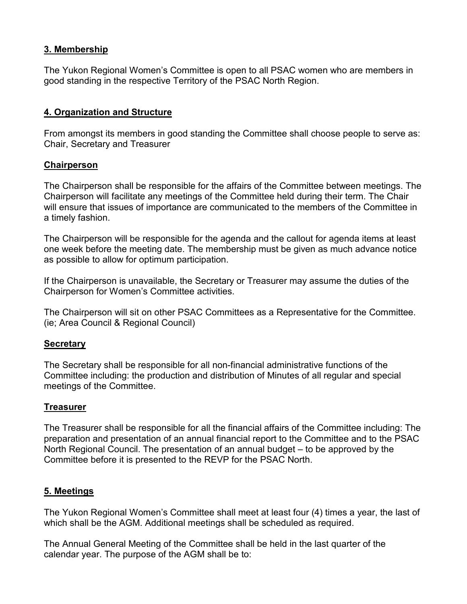#### **3. Membership**

The Yukon Regional Women's Committee is open to all PSAC women who are members in good standing in the respective Territory of the PSAC North Region.

### **4. Organization and Structure**

From amongst its members in good standing the Committee shall choose people to serve as: Chair, Secretary and Treasurer

#### **Chairperson**

The Chairperson shall be responsible for the affairs of the Committee between meetings. The Chairperson will facilitate any meetings of the Committee held during their term. The Chair will ensure that issues of importance are communicated to the members of the Committee in a timely fashion.

The Chairperson will be responsible for the agenda and the callout for agenda items at least one week before the meeting date. The membership must be given as much advance notice as possible to allow for optimum participation.

If the Chairperson is unavailable, the Secretary or Treasurer may assume the duties of the Chairperson for Women's Committee activities.

The Chairperson will sit on other PSAC Committees as a Representative for the Committee. (ie; Area Council & Regional Council)

#### **Secretary**

The Secretary shall be responsible for all non-financial administrative functions of the Committee including: the production and distribution of Minutes of all regular and special meetings of the Committee.

#### **Treasurer**

The Treasurer shall be responsible for all the financial affairs of the Committee including: The preparation and presentation of an annual financial report to the Committee and to the PSAC North Regional Council. The presentation of an annual budget – to be approved by the Committee before it is presented to the REVP for the PSAC North.

## **5. Meetings**

The Yukon Regional Women's Committee shall meet at least four (4) times a year, the last of which shall be the AGM. Additional meetings shall be scheduled as required.

The Annual General Meeting of the Committee shall be held in the last quarter of the calendar year. The purpose of the AGM shall be to: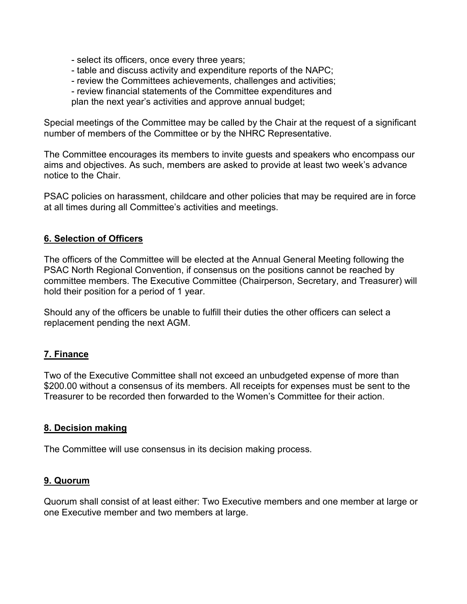- select its officers, once every three years;
- table and discuss activity and expenditure reports of the NAPC;
- review the Committees achievements, challenges and activities;
- review financial statements of the Committee expenditures and

plan the next year's activities and approve annual budget;

Special meetings of the Committee may be called by the Chair at the request of a significant number of members of the Committee or by the NHRC Representative.

The Committee encourages its members to invite guests and speakers who encompass our aims and objectives. As such, members are asked to provide at least two week's advance notice to the Chair.

PSAC policies on harassment, childcare and other policies that may be required are in force at all times during all Committee's activities and meetings.

#### **6. Selection of Officers**

The officers of the Committee will be elected at the Annual General Meeting following the PSAC North Regional Convention, if consensus on the positions cannot be reached by committee members. The Executive Committee (Chairperson, Secretary, and Treasurer) will hold their position for a period of 1 year.

Should any of the officers be unable to fulfill their duties the other officers can select a replacement pending the next AGM.

## **7. Finance**

Two of the Executive Committee shall not exceed an unbudgeted expense of more than \$200.00 without a consensus of its members. All receipts for expenses must be sent to the Treasurer to be recorded then forwarded to the Women's Committee for their action.

#### **8. Decision making**

The Committee will use consensus in its decision making process.

#### **9. Quorum**

Quorum shall consist of at least either: Two Executive members and one member at large or one Executive member and two members at large.